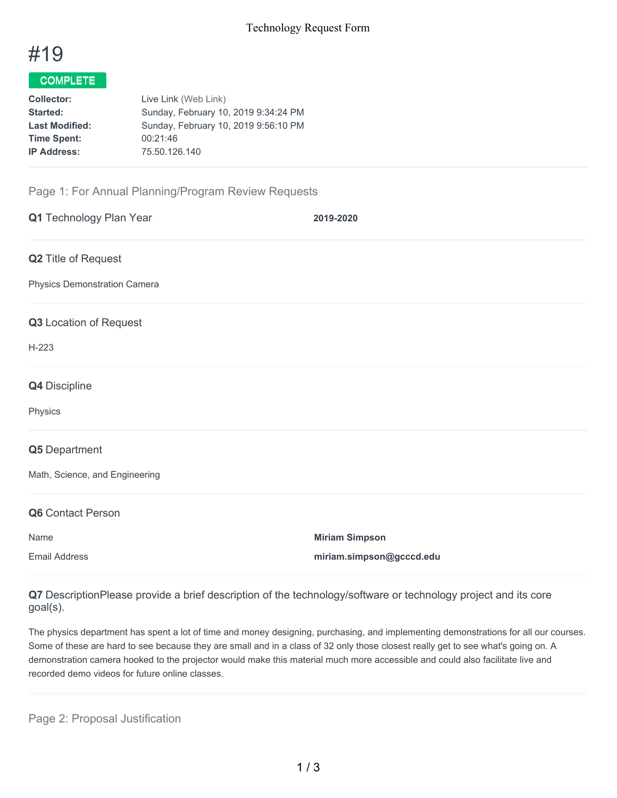

## COMPLETE

| <b>Collector:</b>     | Live Link (Web Link)                 |  |  |
|-----------------------|--------------------------------------|--|--|
| Started:              | Sunday, February 10, 2019 9:34:24 PM |  |  |
| <b>Last Modified:</b> | Sunday, February 10, 2019 9:56:10 PM |  |  |
| <b>Time Spent:</b>    | 00:21:46                             |  |  |
| <b>IP Address:</b>    | 75.50.126.140                        |  |  |
|                       |                                      |  |  |

## Page 1: For Annual Planning/Program Review Requests

| Q1 Technology Plan Year        | 2019-2020                |
|--------------------------------|--------------------------|
| Q2 Title of Request            |                          |
| Physics Demonstration Camera   |                          |
| Q3 Location of Request         |                          |
| $H-223$                        |                          |
| Q4 Discipline                  |                          |
| Physics                        |                          |
| Q5 Department                  |                          |
| Math, Science, and Engineering |                          |
| Q6 Contact Person              |                          |
| Name                           | <b>Miriam Simpson</b>    |
| <b>Email Address</b>           | miriam.simpson@gcccd.edu |

**Q7** DescriptionPlease provide a brief description of the technology/software or technology project and its core goal(s).

The physics department has spent a lot of time and money designing, purchasing, and implementing demonstrations for all our courses. Some of these are hard to see because they are small and in a class of 32 only those closest really get to see what's going on. A demonstration camera hooked to the projector would make this material much more accessible and could also facilitate live and recorded demo videos for future online classes.

Page 2: Proposal Justification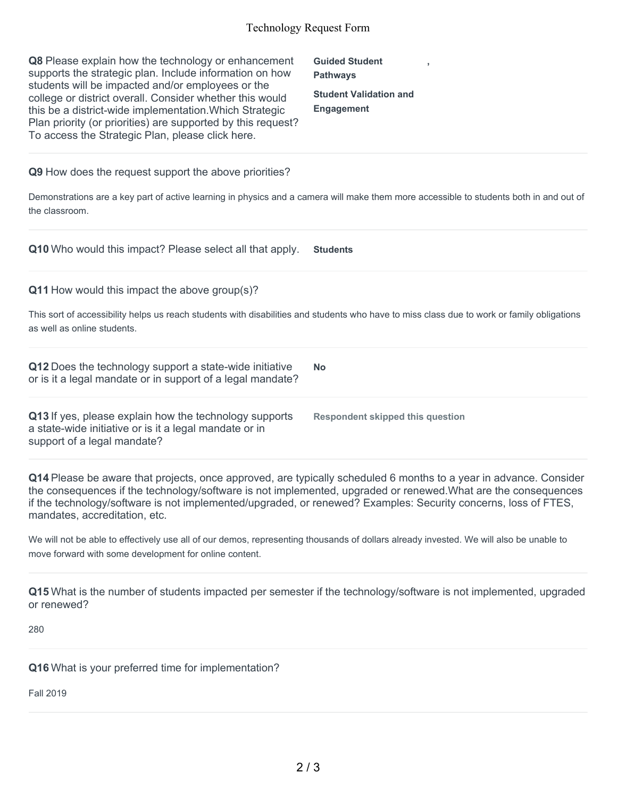## Technology Request Form

| Q8 Please explain how the technology or enhancement<br>supports the strategic plan. Include information on how<br>students will be impacted and/or employees or the<br>college or district overall. Consider whether this would<br>this be a district-wide implementation. Which Strategic<br>Plan priority (or priorities) are supported by this request?<br>To access the Strategic Plan, please click here. | <b>Guided Student</b><br><b>Pathways</b><br><b>Student Validation and</b><br><b>Engagement</b> |
|----------------------------------------------------------------------------------------------------------------------------------------------------------------------------------------------------------------------------------------------------------------------------------------------------------------------------------------------------------------------------------------------------------------|------------------------------------------------------------------------------------------------|
| Q9 How does the request support the above priorities?<br>Demonstrations are a key part of active learning in physics and a camera will make them more accessible to students both in and out of<br>the classroom.                                                                                                                                                                                              |                                                                                                |
| Q10 Who would this impact? Please select all that apply.                                                                                                                                                                                                                                                                                                                                                       | <b>Students</b>                                                                                |
| Q11 How would this impact the above group(s)?<br>This sort of accessibility helps us reach students with disabilities and students who have to miss class due to work or family obligations<br>as well as online students.                                                                                                                                                                                     |                                                                                                |
| Q12 Does the technology support a state-wide initiative<br>or is it a legal mandate or in support of a legal mandate?                                                                                                                                                                                                                                                                                          | <b>No</b>                                                                                      |
| Q13 If yes, please explain how the technology supports<br>a state-wide initiative or is it a legal mandate or in<br>support of a legal mandate?                                                                                                                                                                                                                                                                | <b>Respondent skipped this question</b>                                                        |

**Q14** Please be aware that projects, once approved, are typically scheduled 6 months to a year in advance. Consider the consequences if the technology/software is not implemented, upgraded or renewed.What are the consequences if the technology/software is not implemented/upgraded, or renewed? Examples: Security concerns, loss of FTES, mandates, accreditation, etc.

We will not be able to effectively use all of our demos, representing thousands of dollars already invested. We will also be unable to move forward with some development for online content.

**Q15** What is the number of students impacted per semester if the technology/software is not implemented, upgraded or renewed?

280

**Q16** What is your preferred time for implementation?

Fall 2019